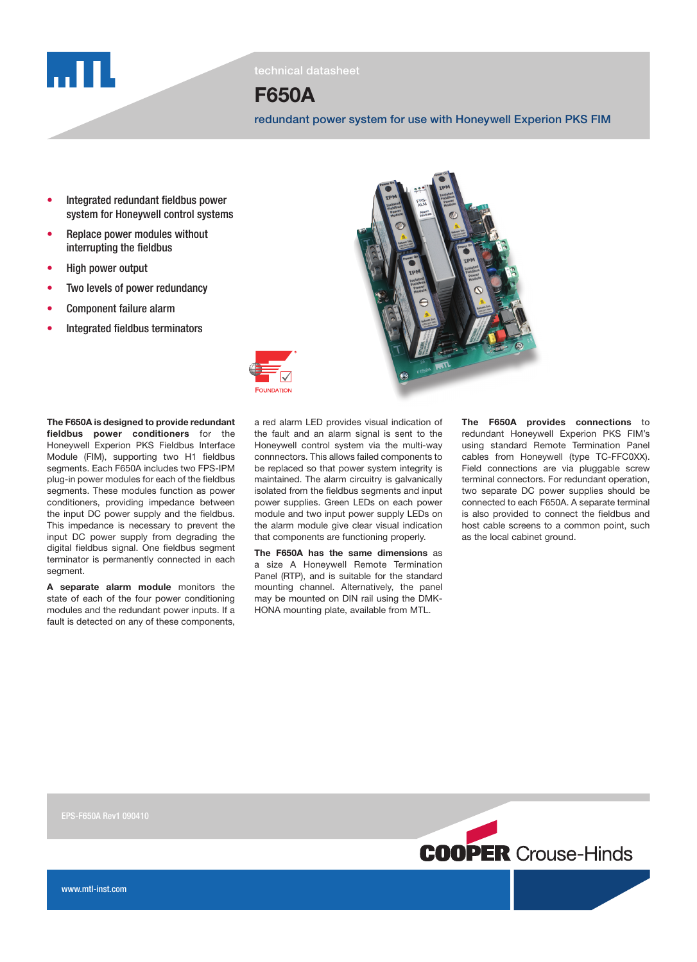

technical datasheet

# F650A

redundant power system for use with Honeywell Experion PKS FIM

- Integrated redundant fieldbus power system for Honeywell control systems
- Replace power modules without interrupting the fieldbus
- High power output
- Two levels of power redundancy
- Component failure alarm
- Integrated fieldbus terminators

The F650A is designed to provide redundant fieldbus power conditioners for the Honeywell Experion PKS Fieldbus Interface Module (FIM), supporting two H1 fieldbus segments. Each F650A includes two FPS-IPM plug-in power modules for each of the fieldbus segments. These modules function as power conditioners, providing impedance between the input DC power supply and the fieldbus. This impedance is necessary to prevent the input DC power supply from degrading the digital fieldbus signal. One fieldbus segment terminator is permanently connected in each segment.

A separate alarm module monitors the state of each of the four power conditioning modules and the redundant power inputs. If a fault is detected on any of these components,



a red alarm LED provides visual indication of the fault and an alarm signal is sent to the Honeywell control system via the multi-way connnectors. This allows failed components to be replaced so that power system integrity is maintained. The alarm circuitry is galvanically isolated from the fieldbus segments and input power supplies. Green LEDs on each power module and two input power supply LEDs on the alarm module give clear visual indication that components are functioning properly.

The F650A has the same dimensions as a size A Honeywell Remote Termination Panel (RTP), and is suitable for the standard mounting channel. Alternatively, the panel may be mounted on DIN rail using the DMK-HONA mounting plate, available from MTL.

The F650A provides connections to redundant Honeywell Experion PKS FIM's using standard Remote Termination Panel cables from Honeywell (type TC-FFC0XX). Field connections are via pluggable screw terminal connectors. For redundant operation, two separate DC power supplies should be connected to each F650A. A separate terminal is also provided to connect the fieldbus and host cable screens to a common point, such as the local cabinet ground.

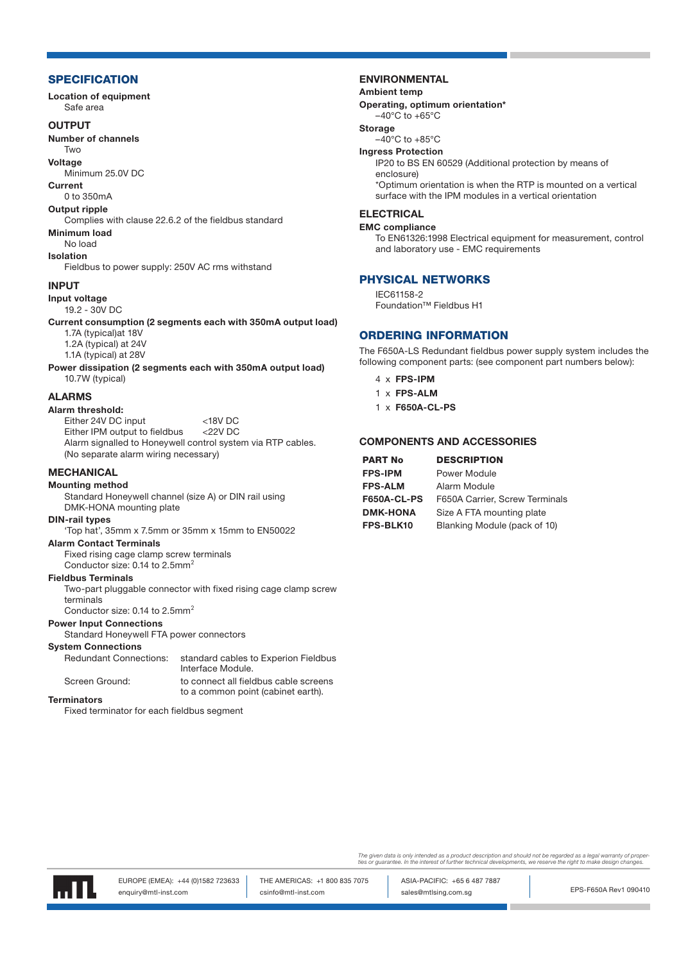#### **SPECIFICATION**

Location of equipment Safe area

#### **OUTPUT**

Number of channels

# Two

Voltage Minimum 25.0V DC

#### Current

0 to 350mA

# Output ripple

Complies with clause 22.6.2 of the fieldbus standard Minimum load

# No load

Isolation

Fieldbus to power supply: 250V AC rms withstand

#### INPUT

Input voltage 19.2 - 30V DC

Current consumption (2 segments each with 350mA output load)

- 1.7A (typical)at 18V 1.2A (typical) at 24V
- 1.1A (typical) at 28V

Power dissipation (2 segments each with 350mA output load) 10.7W (typical)

#### ALARMS

#### Alarm threshold:

Either 24V DC input <18V DC Either IPM output to fieldbus <22V DC Alarm signalled to Honeywell control system via RTP cables. (No separate alarm wiring necessary)

## **MECHANICAL**

### Mounting method

Standard Honeywell channel (size A) or DIN rail using DMK-HONA mounting plate

## DIN-rail types

'Top hat', 35mm x 7.5mm or 35mm x 15mm to EN50022

# Alarm Contact Terminals

Fixed rising cage clamp screw terminals Conductor size: 0.14 to 2.5mm<sup>2</sup>

# Fieldbus Terminals

Two-part pluggable connector with fixed rising cage clamp screw terminals

Conductor size:  $0.14$  to  $2.5$ mm<sup>2</sup>

#### Power Input Connections

Standard Honeywell FTA power connectors

# **System Connections**<br>Redundant Connections:

standard cables to Experion Fieldbus Interface Module.

Screen Ground: to connect all fieldbus cable screens to a common point (cabinet earth). Terminators

Fixed terminator for each fieldbus segment

#### ENVIRONMENTAL

#### Ambient temp

Operating, optimum orientation\*

# $-40^{\circ}$ C to  $+65^{\circ}$ C

Storage

 $-40^{\circ}$ C to  $+85^{\circ}$ C Ingress Protection

IP20 to BS EN 60529 (Additional protection by means of enclosure) \*Optimum orientation is when the RTP is mounted on a vertical surface with the IPM modules in a vertical orientation

#### ELECTRICAL

#### EMC compliance

To EN61326:1998 Electrical equipment for measurement, control and laboratory use - EMC requirements

#### PHYSICAL NETWORKS

IEC61158-2 Foundation™ Fieldbus H1

#### ORDERING INFORMATION

The F650A-LS Redundant fieldbus power supply system includes the following component parts: (see component part numbers below):

- 4 x FPS-IPM
- 1 x FPS-ALM
- 1 x F650A-CL-PS

#### COMPONENTS AND ACCESSORIES

| <b>DESCRIPTION</b>             |
|--------------------------------|
| Power Module                   |
| Alarm Module                   |
| F650A Carrier, Screw Terminals |
| Size A FTA mounting plate      |
| Blanking Module (pack of 10)   |
|                                |

The given data is only intended as a product description and should not be regarded as a legal warranty of proper<br>ties or guarantee. In the interest of further technical developments, we reserve the right to make design ch



EPS-F650A Rev1 090410